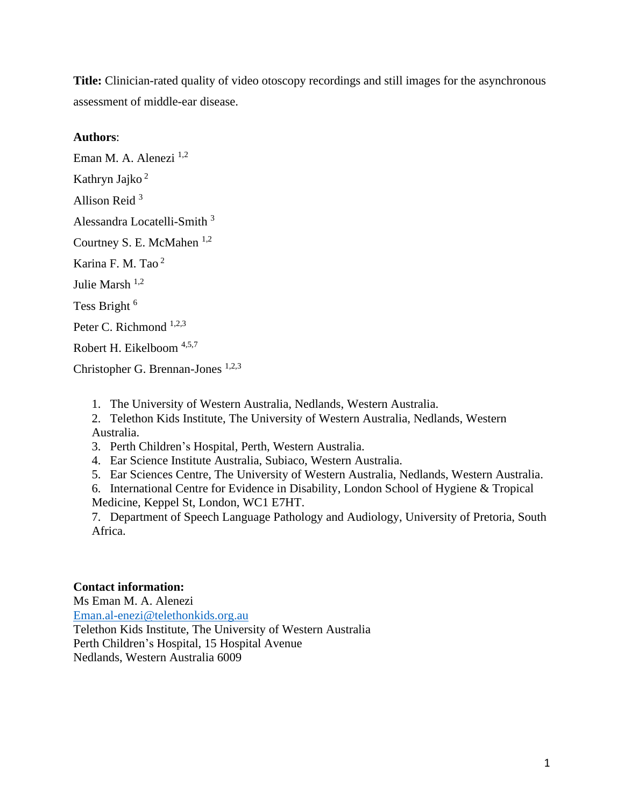**Title:** Clinician-rated quality of video otoscopy recordings and still images for the asynchronous assessment of middle-ear disease.

### **Authors**:

Eman M. A. Alenezi <sup>1,2</sup> Kathryn Jajko <sup>2</sup> Allison Reid <sup>3</sup> Alessandra Locatelli-Smith <sup>3</sup> Courtney S. E. McMahen  $^{1,2}$ Karina F. M. Tao <sup>2</sup> Julie Marsh 1,2 Tess Bright<sup>6</sup> Peter C. Richmond  $1,2,3$ Robert H. Eikelboom 4,5,7 Christopher G. Brennan-Jones 1,2,3

1. The University of Western Australia, Nedlands, Western Australia.

2. Telethon Kids Institute, The University of Western Australia, Nedlands, Western Australia.

3. Perth Children's Hospital, Perth, Western Australia.

4. Ear Science Institute Australia, Subiaco, Western Australia.

5. Ear Sciences Centre, The University of Western Australia, Nedlands, Western Australia.

6. International Centre for Evidence in Disability, London School of Hygiene & Tropical Medicine, Keppel St, London, WC1 E7HT.

7. Department of Speech Language Pathology and Audiology, University of Pretoria, South Africa.

### **Contact information:**

Ms Eman M. A. Alenezi [Eman.al-enezi@telethonkids.org.au](mailto:Eman.al-enezi@telethonkids.org.au) Telethon Kids Institute, The University of Western Australia Perth Children's Hospital, 15 Hospital Avenue Nedlands, Western Australia 6009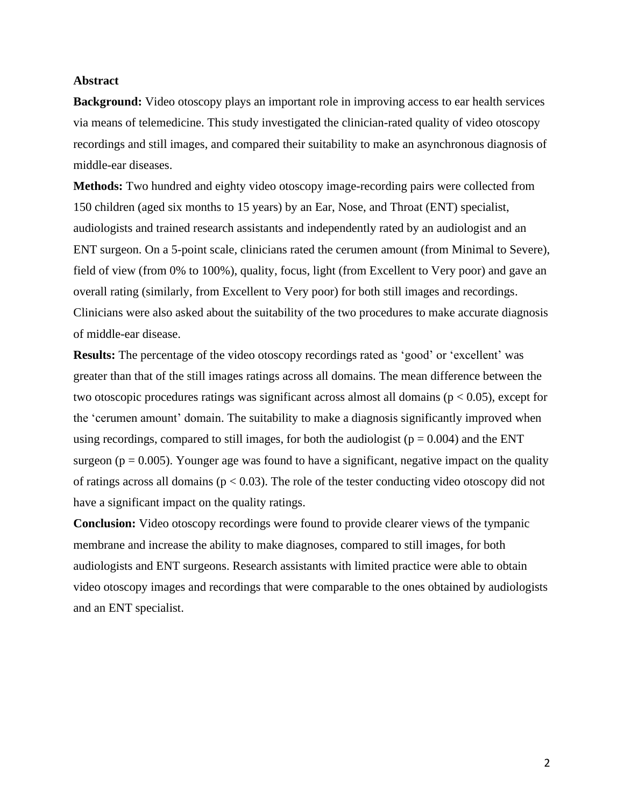### **Abstract**

**Background:** Video otoscopy plays an important role in improving access to ear health services via means of telemedicine. This study investigated the clinician-rated quality of video otoscopy recordings and still images, and compared their suitability to make an asynchronous diagnosis of middle-ear diseases.

**Methods:** Two hundred and eighty video otoscopy image-recording pairs were collected from 150 children (aged six months to 15 years) by an Ear, Nose, and Throat (ENT) specialist, audiologists and trained research assistants and independently rated by an audiologist and an ENT surgeon. On a 5-point scale, clinicians rated the cerumen amount (from Minimal to Severe), field of view (from 0% to 100%), quality, focus, light (from Excellent to Very poor) and gave an overall rating (similarly, from Excellent to Very poor) for both still images and recordings. Clinicians were also asked about the suitability of the two procedures to make accurate diagnosis of middle-ear disease.

**Results:** The percentage of the video otoscopy recordings rated as 'good' or 'excellent' was greater than that of the still images ratings across all domains. The mean difference between the two otoscopic procedures ratings was significant across almost all domains ( $p < 0.05$ ), except for the 'cerumen amount' domain. The suitability to make a diagnosis significantly improved when using recordings, compared to still images, for both the audiologist ( $p = 0.004$ ) and the ENT surgeon ( $p = 0.005$ ). Younger age was found to have a significant, negative impact on the quality of ratings across all domains ( $p < 0.03$ ). The role of the tester conducting video otoscopy did not have a significant impact on the quality ratings.

**Conclusion:** Video otoscopy recordings were found to provide clearer views of the tympanic membrane and increase the ability to make diagnoses, compared to still images, for both audiologists and ENT surgeons. Research assistants with limited practice were able to obtain video otoscopy images and recordings that were comparable to the ones obtained by audiologists and an ENT specialist.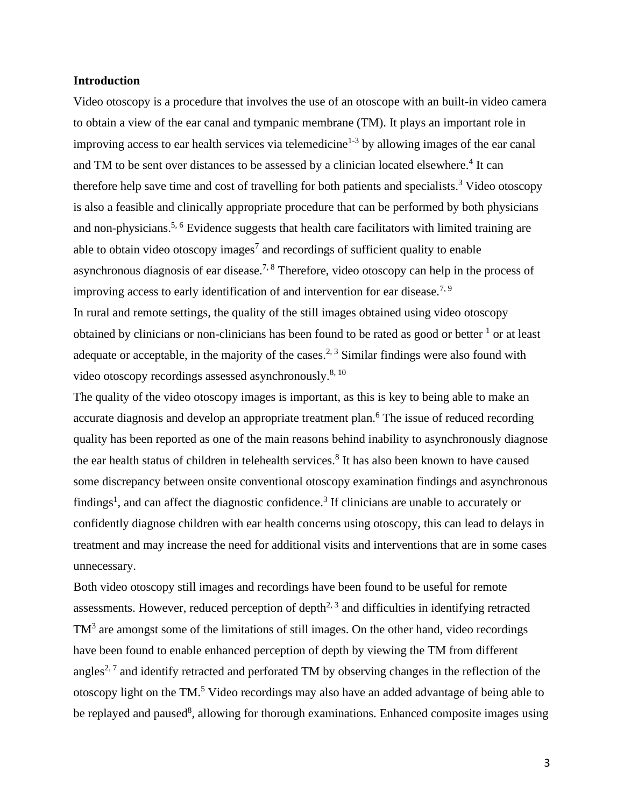#### **Introduction**

Video otoscopy is a procedure that involves the use of an otoscope with an built-in video camera to obtain a view of the ear canal and tympanic membrane (TM). It plays an important role in improving access to ear health services via telemedicine<sup>1-3</sup> by allowing images of the ear canal and TM to be sent over distances to be assessed by a clinician located elsewhere.<sup>4</sup> It can therefore help save time and cost of travelling for both patients and specialists.<sup>3</sup> Video otoscopy is also a feasible and clinically appropriate procedure that can be performed by both physicians and non-physicians.<sup>5, 6</sup> Evidence suggests that health care facilitators with limited training are able to obtain video otoscopy images<sup>7</sup> and recordings of sufficient quality to enable asynchronous diagnosis of ear disease.<sup>7, 8</sup> Therefore, video otoscopy can help in the process of improving access to early identification of and intervention for ear disease.<sup>7, 9</sup> In rural and remote settings, the quality of the still images obtained using video otoscopy obtained by clinicians or non-clinicians has been found to be rated as good or better  $\frac{1}{1}$  or at least adequate or acceptable, in the majority of the cases.<sup>2, 3</sup> Similar findings were also found with video otoscopy recordings assessed asynchronously.<sup>8, 10</sup>

The quality of the video otoscopy images is important, as this is key to being able to make an accurate diagnosis and develop an appropriate treatment plan.<sup>6</sup> The issue of reduced recording quality has been reported as one of the main reasons behind inability to asynchronously diagnose the ear health status of children in telehealth services. 8 It has also been known to have caused some discrepancy between onsite conventional otoscopy examination findings and asynchronous findings<sup>1</sup>, and can affect the diagnostic confidence.<sup>3</sup> If clinicians are unable to accurately or confidently diagnose children with ear health concerns using otoscopy, this can lead to delays in treatment and may increase the need for additional visits and interventions that are in some cases unnecessary.

Both video otoscopy still images and recordings have been found to be useful for remote assessments. However, reduced perception of depth<sup>2, 3</sup> and difficulties in identifying retracted TM<sup>3</sup> are amongst some of the limitations of still images. On the other hand, video recordings have been found to enable enhanced perception of depth by viewing the TM from different angles<sup>2, 7</sup> and identify retracted and perforated TM by observing changes in the reflection of the otoscopy light on the TM. <sup>5</sup> Video recordings may also have an added advantage of being able to be replayed and paused<sup>8</sup>, allowing for thorough examinations. Enhanced composite images using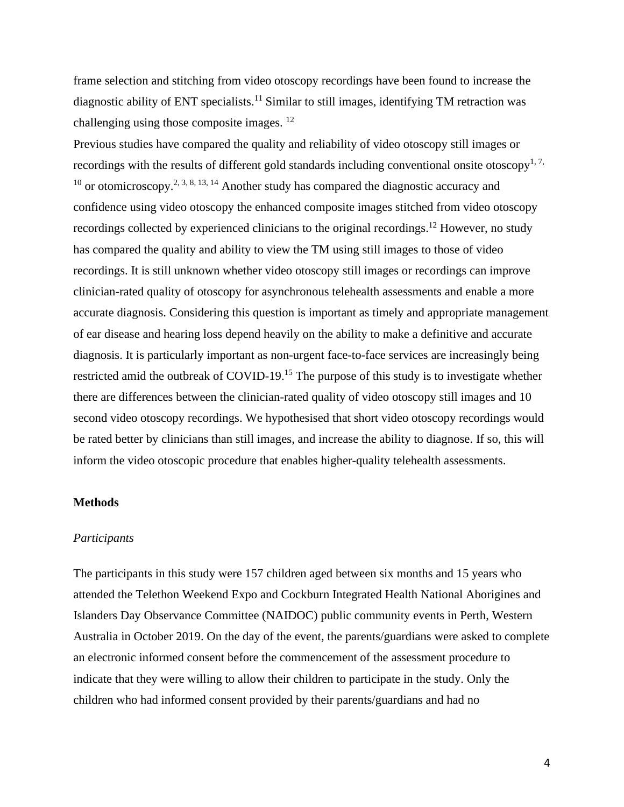frame selection and stitching from video otoscopy recordings have been found to increase the diagnostic ability of ENT specialists.<sup>11</sup> Similar to still images, identifying TM retraction was challenging using those composite images. <sup>12</sup>

Previous studies have compared the quality and reliability of video otoscopy still images or recordings with the results of different gold standards including conventional onsite otoscopy<sup>1, 7,</sup> <sup>10</sup> or otomicroscopy.<sup>2, 3, 8, 13, 14</sup> Another study has compared the diagnostic accuracy and confidence using video otoscopy the enhanced composite images stitched from video otoscopy recordings collected by experienced clinicians to the original recordings.<sup>12</sup> However, no study has compared the quality and ability to view the TM using still images to those of video recordings. It is still unknown whether video otoscopy still images or recordings can improve clinician-rated quality of otoscopy for asynchronous telehealth assessments and enable a more accurate diagnosis. Considering this question is important as timely and appropriate management of ear disease and hearing loss depend heavily on the ability to make a definitive and accurate diagnosis. It is particularly important as non-urgent face-to-face services are increasingly being restricted amid the outbreak of COVID-19.<sup>15</sup> The purpose of this study is to investigate whether there are differences between the clinician-rated quality of video otoscopy still images and 10 second video otoscopy recordings. We hypothesised that short video otoscopy recordings would be rated better by clinicians than still images, and increase the ability to diagnose. If so, this will inform the video otoscopic procedure that enables higher-quality telehealth assessments.

#### **Methods**

### *Participants*

The participants in this study were 157 children aged between six months and 15 years who attended the Telethon Weekend Expo and Cockburn Integrated Health National Aborigines and Islanders Day Observance Committee (NAIDOC) public community events in Perth, Western Australia in October 2019. On the day of the event, the parents/guardians were asked to complete an electronic informed consent before the commencement of the assessment procedure to indicate that they were willing to allow their children to participate in the study. Only the children who had informed consent provided by their parents/guardians and had no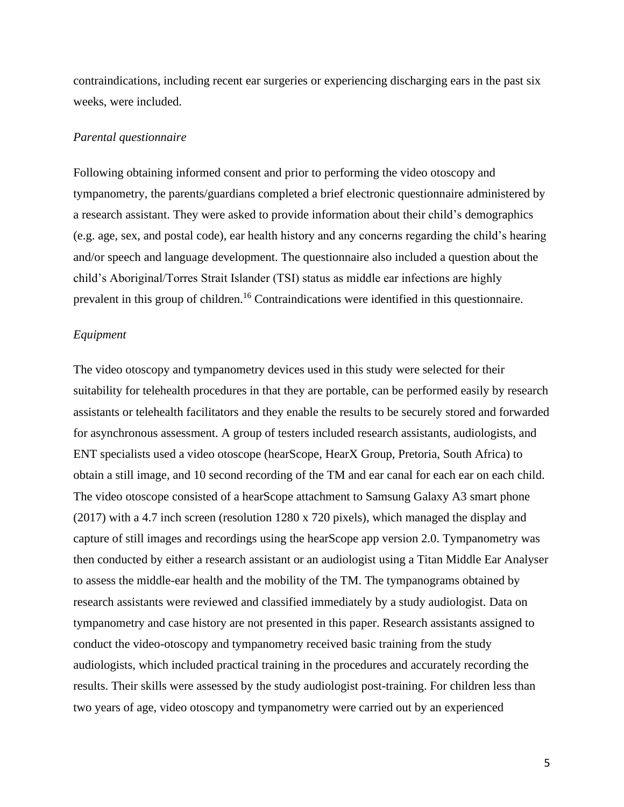contraindications, including recent ear surgeries or experiencing discharging ears in the past six weeks, were included.

#### *Parental questionnaire*

Following obtaining informed consent and prior to performing the video otoscopy and tympanometry, the parents/guardians completed a brief electronic questionnaire administered by a research assistant. They were asked to provide information about their child's demographics (e.g. age, sex, and postal code), ear health history and any concerns regarding the child's hearing and/or speech and language development. The questionnaire also included a question about the child's Aboriginal/Torres Strait Islander (TSI) status as middle ear infections are highly prevalent in this group of children.<sup>16</sup> Contraindications were identified in this questionnaire.

#### *Equipment*

The video otoscopy and tympanometry devices used in this study were selected for their suitability for telehealth procedures in that they are portable, can be performed easily by research assistants or telehealth facilitators and they enable the results to be securely stored and forwarded for asynchronous assessment. A group of testers included research assistants, audiologists, and ENT specialists used a video otoscope (hearScope, HearX Group, Pretoria, South Africa) to obtain a still image, and 10 second recording of the TM and ear canal for each ear on each child. The video otoscope consisted of a hearScope attachment to Samsung Galaxy A3 smart phone (2017) with a 4.7 inch screen (resolution 1280 x 720 pixels), which managed the display and capture of still images and recordings using the hearScope app version 2.0. Tympanometry was then conducted by either a research assistant or an audiologist using a Titan Middle Ear Analyser to assess the middle-ear health and the mobility of the TM. The tympanograms obtained by research assistants were reviewed and classified immediately by a study audiologist. Data on tympanometry and case history are not presented in this paper. Research assistants assigned to conduct the video-otoscopy and tympanometry received basic training from the study audiologists, which included practical training in the procedures and accurately recording the results. Their skills were assessed by the study audiologist post-training. For children less than two years of age, video otoscopy and tympanometry were carried out by an experienced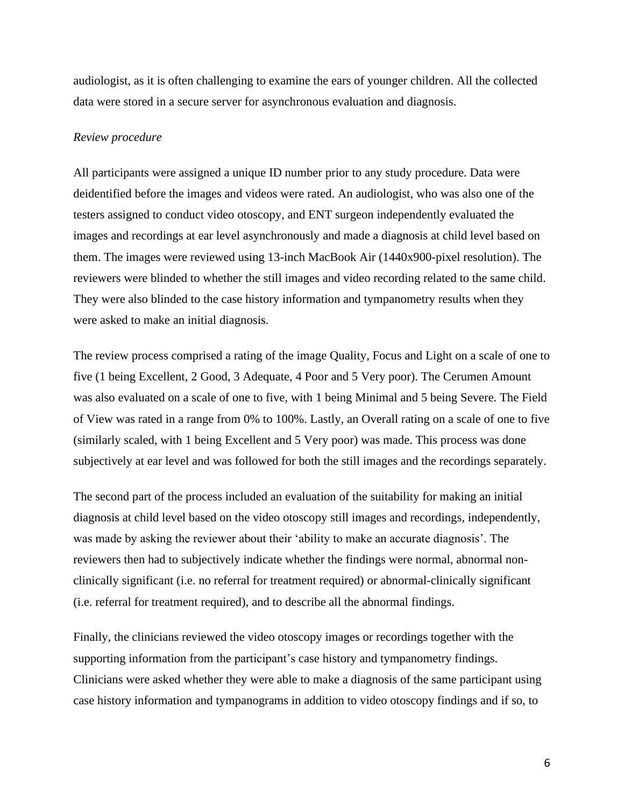audiologist, as it is often challenging to examine the ears of younger children. All the collected data were stored in a secure server for asynchronous evaluation and diagnosis.

#### *Review procedure*

All participants were assigned a unique ID number prior to any study procedure. Data were deidentified before the images and videos were rated. An audiologist, who was also one of the testers assigned to conduct video otoscopy, and ENT surgeon independently evaluated the images and recordings at ear level asynchronously and made a diagnosis at child level based on them. The images were reviewed using 13-inch MacBook Air (1440x900-pixel resolution). The reviewers were blinded to whether the still images and video recording related to the same child. They were also blinded to the case history information and tympanometry results when they were asked to make an initial diagnosis.

The review process comprised a rating of the image Quality, Focus and Light on a scale of one to five (1 being Excellent, 2 Good, 3 Adequate, 4 Poor and 5 Very poor). The Cerumen Amount was also evaluated on a scale of one to five, with 1 being Minimal and 5 being Severe. The Field of View was rated in a range from 0% to 100%. Lastly, an Overall rating on a scale of one to five (similarly scaled, with 1 being Excellent and 5 Very poor) was made. This process was done subjectively at ear level and was followed for both the still images and the recordings separately.

The second part of the process included an evaluation of the suitability for making an initial diagnosis at child level based on the video otoscopy still images and recordings, independently, was made by asking the reviewer about their 'ability to make an accurate diagnosis'. The reviewers then had to subjectively indicate whether the findings were normal, abnormal nonclinically significant (i.e. no referral for treatment required) or abnormal-clinically significant (i.e. referral for treatment required), and to describe all the abnormal findings.

Finally, the clinicians reviewed the video otoscopy images or recordings together with the supporting information from the participant's case history and tympanometry findings. Clinicians were asked whether they were able to make a diagnosis of the same participant using case history information and tympanograms in addition to video otoscopy findings and if so, to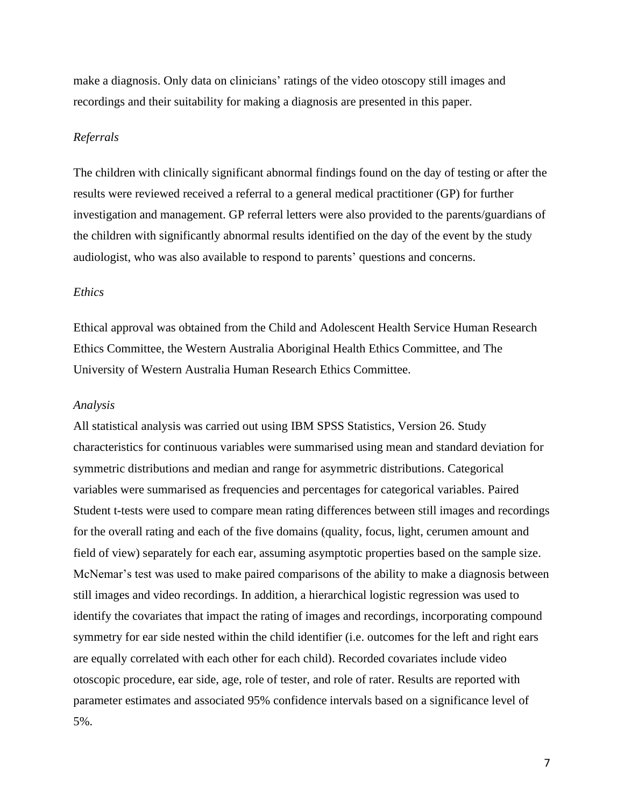make a diagnosis. Only data on clinicians' ratings of the video otoscopy still images and recordings and their suitability for making a diagnosis are presented in this paper.

#### *Referrals*

The children with clinically significant abnormal findings found on the day of testing or after the results were reviewed received a referral to a general medical practitioner (GP) for further investigation and management. GP referral letters were also provided to the parents/guardians of the children with significantly abnormal results identified on the day of the event by the study audiologist, who was also available to respond to parents' questions and concerns.

### *Ethics*

Ethical approval was obtained from the Child and Adolescent Health Service Human Research Ethics Committee, the Western Australia Aboriginal Health Ethics Committee, and The University of Western Australia Human Research Ethics Committee.

#### *Analysis*

All statistical analysis was carried out using IBM SPSS Statistics, Version 26. Study characteristics for continuous variables were summarised using mean and standard deviation for symmetric distributions and median and range for asymmetric distributions. Categorical variables were summarised as frequencies and percentages for categorical variables. Paired Student t-tests were used to compare mean rating differences between still images and recordings for the overall rating and each of the five domains (quality, focus, light, cerumen amount and field of view) separately for each ear, assuming asymptotic properties based on the sample size. McNemar's test was used to make paired comparisons of the ability to make a diagnosis between still images and video recordings. In addition, a hierarchical logistic regression was used to identify the covariates that impact the rating of images and recordings, incorporating compound symmetry for ear side nested within the child identifier (i.e. outcomes for the left and right ears are equally correlated with each other for each child). Recorded covariates include video otoscopic procedure, ear side, age, role of tester, and role of rater. Results are reported with parameter estimates and associated 95% confidence intervals based on a significance level of 5%.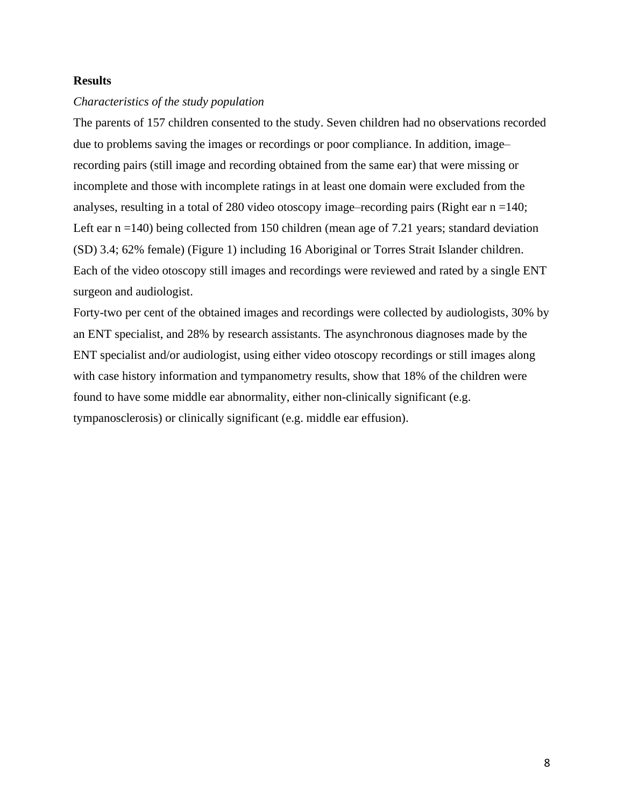### **Results**

### *Characteristics of the study population*

The parents of 157 children consented to the study. Seven children had no observations recorded due to problems saving the images or recordings or poor compliance. In addition, image– recording pairs (still image and recording obtained from the same ear) that were missing or incomplete and those with incomplete ratings in at least one domain were excluded from the analyses, resulting in a total of 280 video otoscopy image–recording pairs (Right ear n =140; Left ear n =140) being collected from 150 children (mean age of 7.21 years; standard deviation (SD) 3.4; 62% female) (Figure 1) including 16 Aboriginal or Torres Strait Islander children. Each of the video otoscopy still images and recordings were reviewed and rated by a single ENT surgeon and audiologist.

Forty-two per cent of the obtained images and recordings were collected by audiologists, 30% by an ENT specialist, and 28% by research assistants. The asynchronous diagnoses made by the ENT specialist and/or audiologist, using either video otoscopy recordings or still images along with case history information and tympanometry results, show that 18% of the children were found to have some middle ear abnormality, either non-clinically significant (e.g. tympanosclerosis) or clinically significant (e.g. middle ear effusion).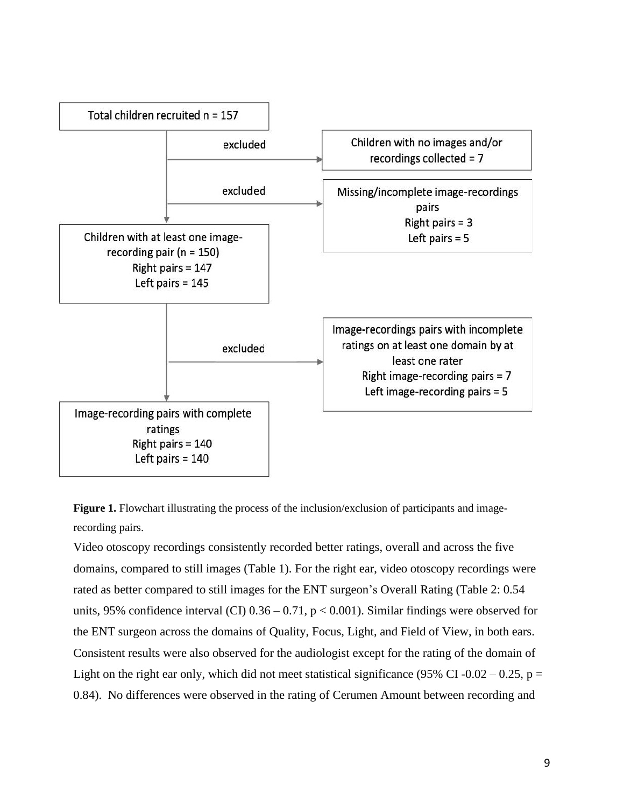

**Figure 1.** Flowchart illustrating the process of the inclusion/exclusion of participants and imagerecording pairs.

Video otoscopy recordings consistently recorded better ratings, overall and across the five domains, compared to still images (Table 1). For the right ear, video otoscopy recordings were rated as better compared to still images for the ENT surgeon's Overall Rating (Table 2: 0.54 units, 95% confidence interval (CI)  $0.36 - 0.71$ ,  $p < 0.001$ ). Similar findings were observed for the ENT surgeon across the domains of Quality, Focus, Light, and Field of View, in both ears. Consistent results were also observed for the audiologist except for the rating of the domain of Light on the right ear only, which did not meet statistical significance (95% CI-0.02 – 0.25, p = 0.84). No differences were observed in the rating of Cerumen Amount between recording and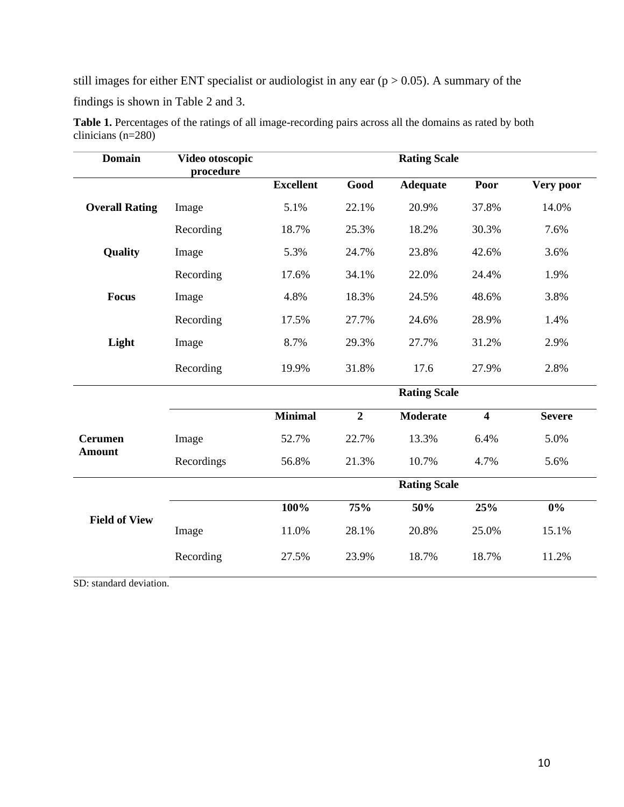still images for either ENT specialist or audiologist in any ear  $(p > 0.05)$ . A summary of the findings is shown in Table 2 and 3.

| <b>Domain</b>         | Video otoscopic<br>procedure | <b>Rating Scale</b> |                |                     |                         |               |
|-----------------------|------------------------------|---------------------|----------------|---------------------|-------------------------|---------------|
|                       |                              | <b>Excellent</b>    | Good           | <b>Adequate</b>     | Poor                    | Very poor     |
| <b>Overall Rating</b> | Image                        | 5.1%                | 22.1%          | 20.9%               | 37.8%                   | 14.0%         |
|                       | Recording                    | 18.7%               | 25.3%          | 18.2%               | 30.3%                   | 7.6%          |
| Quality               | Image                        | 5.3%                | 24.7%          | 23.8%               | 42.6%                   | 3.6%          |
|                       | Recording                    | 17.6%               | 34.1%          | 22.0%               | 24.4%                   | 1.9%          |
| <b>Focus</b>          | Image                        | 4.8%                | 18.3%          | 24.5%               | 48.6%                   | 3.8%          |
|                       | Recording                    | 17.5%               | 27.7%          | 24.6%               | 28.9%                   | 1.4%          |
| Light                 | Image                        | 8.7%                | 29.3%          | 27.7%               | 31.2%                   | 2.9%          |
|                       | Recording                    | 19.9%               | 31.8%          | 17.6                | 27.9%                   | 2.8%          |
|                       |                              |                     |                | <b>Rating Scale</b> |                         |               |
|                       |                              | <b>Minimal</b>      | $\overline{2}$ | <b>Moderate</b>     | $\overline{\mathbf{4}}$ | <b>Severe</b> |
| <b>Cerumen</b>        | Image                        | 52.7%               | 22.7%          | 13.3%               | 6.4%                    | 5.0%          |
| <b>Amount</b>         | Recordings                   | 56.8%               | 21.3%          | 10.7%               | 4.7%                    | 5.6%          |
|                       |                              |                     |                | <b>Rating Scale</b> |                         |               |
|                       |                              | 100%                | 75%            | 50%                 | 25%                     | $0\%$         |
| <b>Field of View</b>  | Image                        | 11.0%               | 28.1%          | 20.8%               | 25.0%                   | 15.1%         |
|                       | Recording                    | 27.5%               | 23.9%          | 18.7%               | 18.7%                   | 11.2%         |

Table 1. Percentages of the ratings of all image-recording pairs across all the domains as rated by both clinicians (n=280)

SD: standard deviation.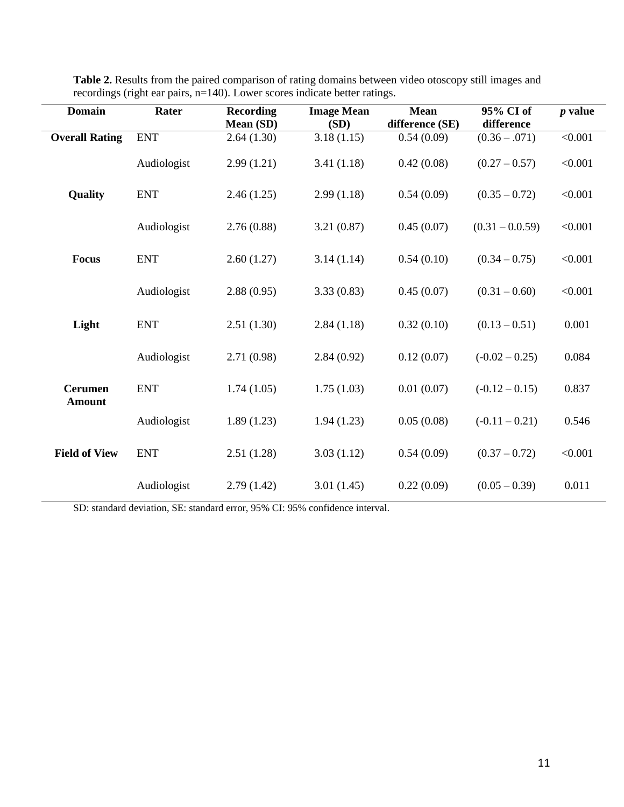| <b>Domain</b>                   | Rater       | <b>Recording</b><br>Mean (SD) | <b>Image Mean</b><br>(SD) | <b>Mean</b><br>difference (SE) | 95% CI of<br>difference | $p$ value |
|---------------------------------|-------------|-------------------------------|---------------------------|--------------------------------|-------------------------|-----------|
| <b>Overall Rating</b>           | <b>ENT</b>  | 2.64(1.30)                    | 3.18(1.15)                | 0.54(0.09)                     | $(0.36 - .071)$         | < 0.001   |
|                                 | Audiologist | 2.99(1.21)                    | 3.41(1.18)                | 0.42(0.08)                     | $(0.27 - 0.57)$         | < 0.001   |
| Quality                         | <b>ENT</b>  | 2.46(1.25)                    | 2.99(1.18)                | 0.54(0.09)                     | $(0.35 - 0.72)$         | < 0.001   |
|                                 | Audiologist | 2.76(0.88)                    | 3.21(0.87)                | 0.45(0.07)                     | $(0.31 - 0.0.59)$       | < 0.001   |
| <b>Focus</b>                    | <b>ENT</b>  | 2.60(1.27)                    | 3.14(1.14)                | 0.54(0.10)                     | $(0.34 - 0.75)$         | < 0.001   |
|                                 | Audiologist | 2.88(0.95)                    | 3.33(0.83)                | 0.45(0.07)                     | $(0.31 - 0.60)$         | < 0.001   |
| Light                           | <b>ENT</b>  | 2.51(1.30)                    | 2.84(1.18)                | 0.32(0.10)                     | $(0.13 - 0.51)$         | 0.001     |
|                                 | Audiologist | 2.71(0.98)                    | 2.84(0.92)                | 0.12(0.07)                     | $(-0.02 - 0.25)$        | 0.084     |
| <b>Cerumen</b><br><b>Amount</b> | <b>ENT</b>  | 1.74(1.05)                    | 1.75(1.03)                | 0.01(0.07)                     | $(-0.12 - 0.15)$        | 0.837     |
|                                 | Audiologist | 1.89(1.23)                    | 1.94(1.23)                | 0.05(0.08)                     | $(-0.11 - 0.21)$        | 0.546     |
| <b>Field of View</b>            | <b>ENT</b>  | 2.51(1.28)                    | 3.03(1.12)                | 0.54(0.09)                     | $(0.37 - 0.72)$         | < 0.001   |
|                                 | Audiologist | 2.79(1.42)                    | 3.01(1.45)                | 0.22(0.09)                     | $(0.05 - 0.39)$         | 0.011     |

**Table 2.** Results from the paired comparison of rating domains between video otoscopy still images and recordings (right ear pairs, n=140). Lower scores indicate better ratings.

SD: standard deviation, SE: standard error, 95% CI: 95% confidence interval.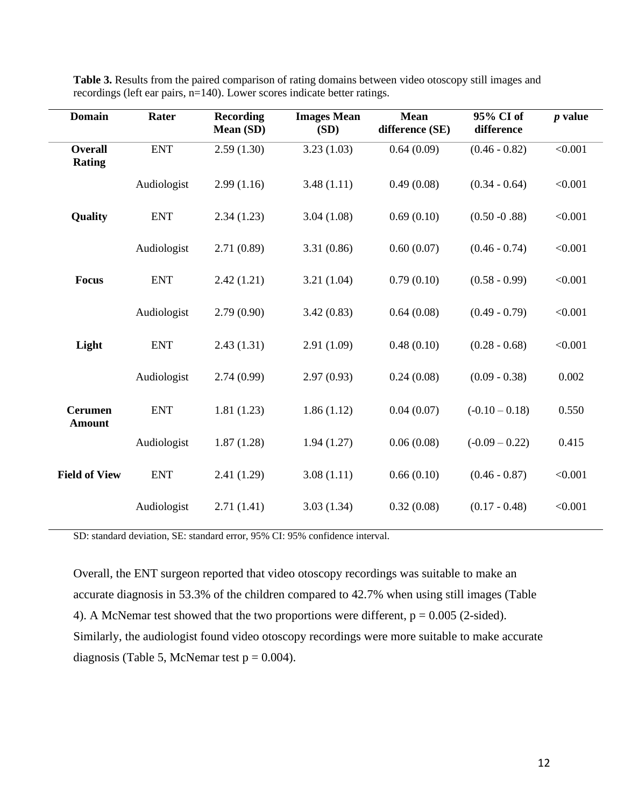| <b>Domain</b>                   | Rater       | <b>Recording</b><br>Mean (SD) | <b>Images Mean</b><br>(SD) | <b>Mean</b><br>difference (SE) | 95% CI of<br>difference | $p$ value |
|---------------------------------|-------------|-------------------------------|----------------------------|--------------------------------|-------------------------|-----------|
| <b>Overall</b><br><b>Rating</b> | <b>ENT</b>  | 2.59(1.30)                    | 3.23(1.03)                 | 0.64(0.09)                     | $(0.46 - 0.82)$         | < 0.001   |
|                                 | Audiologist | 2.99(1.16)                    | 3.48(1.11)                 | 0.49(0.08)                     | $(0.34 - 0.64)$         | < 0.001   |
| Quality                         | <b>ENT</b>  | 2.34(1.23)                    | 3.04(1.08)                 | 0.69(0.10)                     | $(0.50 - 0.88)$         | < 0.001   |
|                                 | Audiologist | 2.71(0.89)                    | 3.31(0.86)                 | 0.60(0.07)                     | $(0.46 - 0.74)$         | < 0.001   |
| <b>Focus</b>                    | <b>ENT</b>  | 2.42(1.21)                    | 3.21(1.04)                 | 0.79(0.10)                     | $(0.58 - 0.99)$         | < 0.001   |
|                                 | Audiologist | 2.79(0.90)                    | 3.42(0.83)                 | 0.64(0.08)                     | $(0.49 - 0.79)$         | < 0.001   |
| Light                           | <b>ENT</b>  | 2.43(1.31)                    | 2.91(1.09)                 | 0.48(0.10)                     | $(0.28 - 0.68)$         | < 0.001   |
|                                 | Audiologist | 2.74(0.99)                    | 2.97(0.93)                 | 0.24(0.08)                     | $(0.09 - 0.38)$         | 0.002     |
| <b>Cerumen</b><br><b>Amount</b> | <b>ENT</b>  | 1.81(1.23)                    | 1.86(1.12)                 | 0.04(0.07)                     | $(-0.10 - 0.18)$        | 0.550     |
|                                 | Audiologist | 1.87(1.28)                    | 1.94(1.27)                 | 0.06(0.08)                     | $(-0.09 - 0.22)$        | 0.415     |
| <b>Field of View</b>            | <b>ENT</b>  | 2.41(1.29)                    | 3.08(1.11)                 | 0.66(0.10)                     | $(0.46 - 0.87)$         | < 0.001   |
|                                 | Audiologist | 2.71(1.41)                    | 3.03(1.34)                 | 0.32(0.08)                     | $(0.17 - 0.48)$         | < 0.001   |

**Table 3.** Results from the paired comparison of rating domains between video otoscopy still images and recordings (left ear pairs, n=140). Lower scores indicate better ratings.

SD: standard deviation, SE: standard error, 95% CI: 95% confidence interval.

Overall, the ENT surgeon reported that video otoscopy recordings was suitable to make an accurate diagnosis in 53.3% of the children compared to 42.7% when using still images (Table 4). A McNemar test showed that the two proportions were different,  $p = 0.005$  (2-sided). Similarly, the audiologist found video otoscopy recordings were more suitable to make accurate diagnosis (Table 5, McNemar test  $p = 0.004$ ).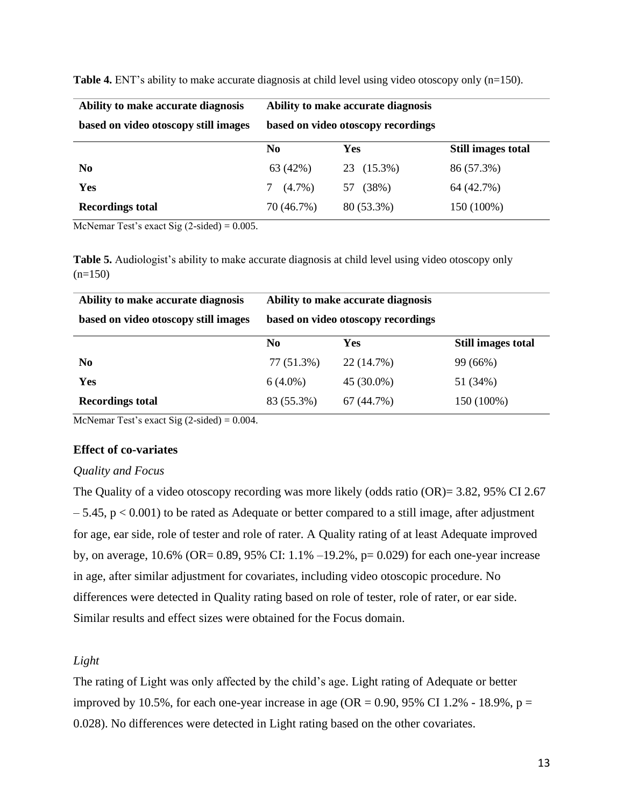| Ability to make accurate diagnosis   | Ability to make accurate diagnosis |             |                    |
|--------------------------------------|------------------------------------|-------------|--------------------|
| based on video otoscopy still images | based on video otoscopy recordings |             |                    |
|                                      | N <sub>0</sub>                     | Yes         | Still images total |
| N <sub>0</sub>                       | 63 (42%)                           | 23 (15.3%)  | 86 (57.3%)         |
| Yes                                  | $(4.7\%)$                          | (38%)<br>57 | 64 (42.7%)         |
| <b>Recordings total</b>              | 70 (46.7%)                         | 80 (53.3%)  | 150 (100%)         |

**Table 4.** ENT's ability to make accurate diagnosis at child level using video otoscopy only (n=150).

McNemar Test's exact Sig  $(2\t{-sided}) = 0.005$ .

**Table 5.** Audiologist's ability to make accurate diagnosis at child level using video otoscopy only  $(n=150)$ 

| Ability to make accurate diagnosis   | Ability to make accurate diagnosis |            |                           |  |  |  |
|--------------------------------------|------------------------------------|------------|---------------------------|--|--|--|
| based on video otoscopy still images | based on video otoscopy recordings |            |                           |  |  |  |
|                                      | No.                                | Yes        | <b>Still images total</b> |  |  |  |
| N <sub>0</sub>                       | 77 (51.3%)                         | 22 (14.7%) | 99 (66%)                  |  |  |  |
| Yes                                  | $6(4.0\%)$                         | 45 (30.0%) | 51 (34%)                  |  |  |  |
| <b>Recordings total</b>              | 83 (55.3%)                         | 67 (44.7%) | 150 (100%)                |  |  |  |

McNemar Test's exact Sig  $(2\t{-sided}) = 0.004$ .

### **Effect of co-variates**

#### *Quality and Focus*

The Quality of a video otoscopy recording was more likely (odds ratio (OR)= 3.82, 95% CI 2.67  $-5.45$ ,  $p < 0.001$ ) to be rated as Adequate or better compared to a still image, after adjustment for age, ear side, role of tester and role of rater. A Quality rating of at least Adequate improved by, on average, 10.6% (OR= 0.89, 95% CI: 1.1% –19.2%, p= 0.029) for each one-year increase in age, after similar adjustment for covariates, including video otoscopic procedure. No differences were detected in Quality rating based on role of tester, role of rater, or ear side. Similar results and effect sizes were obtained for the Focus domain.

### *Light*

The rating of Light was only affected by the child's age. Light rating of Adequate or better improved by 10.5%, for each one-year increase in age (OR = 0.90, 95% CI 1.2% - 18.9%,  $p =$ 0.028). No differences were detected in Light rating based on the other covariates.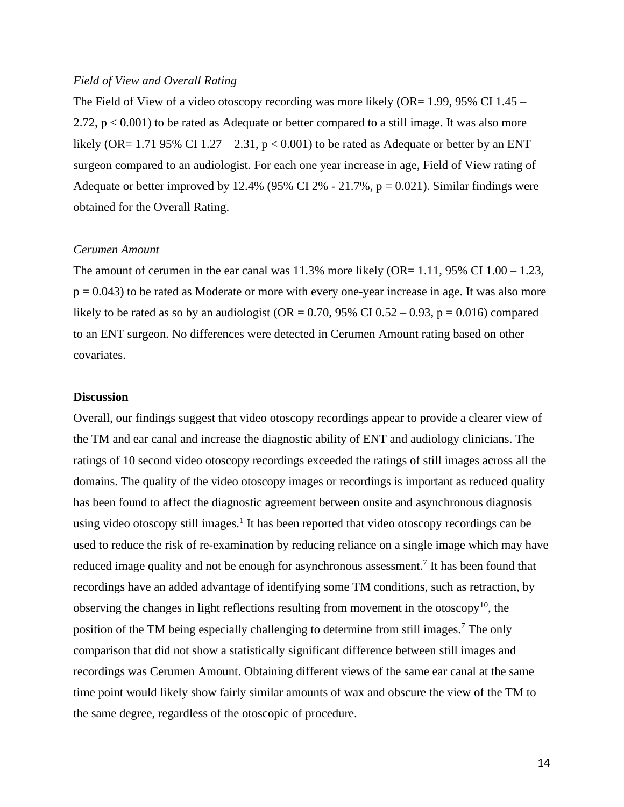### *Field of View and Overall Rating*

The Field of View of a video otoscopy recording was more likely (OR= 1.99, 95% CI 1.45 – 2.72,  $p < 0.001$ ) to be rated as Adequate or better compared to a still image. It was also more likely (OR= 1.71 95% CI 1.27 – 2.31,  $p < 0.001$ ) to be rated as Adequate or better by an ENT surgeon compared to an audiologist. For each one year increase in age, Field of View rating of Adequate or better improved by 12.4% (95% CI 2% - 21.7%,  $p = 0.021$ ). Similar findings were obtained for the Overall Rating.

#### *Cerumen Amount*

The amount of cerumen in the ear canal was  $11.3\%$  more likely (OR= 1.11, 95% CI 1.00 – 1.23,  $p = 0.043$ ) to be rated as Moderate or more with every one-year increase in age. It was also more likely to be rated as so by an audiologist (OR =  $0.70$ , 95% CI  $0.52 - 0.93$ , p =  $0.016$ ) compared to an ENT surgeon. No differences were detected in Cerumen Amount rating based on other covariates.

#### **Discussion**

Overall, our findings suggest that video otoscopy recordings appear to provide a clearer view of the TM and ear canal and increase the diagnostic ability of ENT and audiology clinicians. The ratings of 10 second video otoscopy recordings exceeded the ratings of still images across all the domains. The quality of the video otoscopy images or recordings is important as reduced quality has been found to affect the diagnostic agreement between onsite and asynchronous diagnosis using video otoscopy still images.<sup>1</sup> It has been reported that video otoscopy recordings can be used to reduce the risk of re-examination by reducing reliance on a single image which may have reduced image quality and not be enough for asynchronous assessment.<sup>7</sup> It has been found that recordings have an added advantage of identifying some TM conditions, such as retraction, by observing the changes in light reflections resulting from movement in the otoscopy<sup>10</sup>, the position of the TM being especially challenging to determine from still images.<sup>7</sup> The only comparison that did not show a statistically significant difference between still images and recordings was Cerumen Amount. Obtaining different views of the same ear canal at the same time point would likely show fairly similar amounts of wax and obscure the view of the TM to the same degree, regardless of the otoscopic of procedure.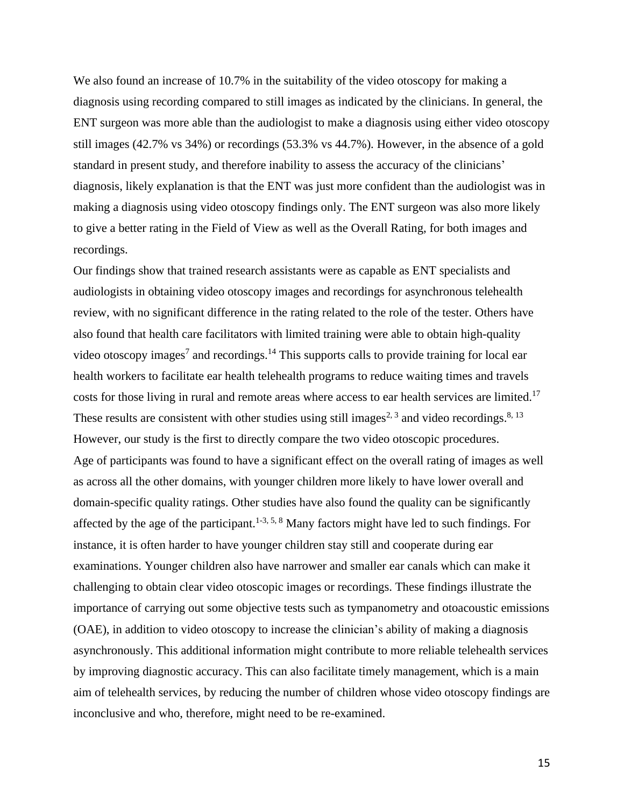We also found an increase of 10.7% in the suitability of the video otoscopy for making a diagnosis using recording compared to still images as indicated by the clinicians. In general, the ENT surgeon was more able than the audiologist to make a diagnosis using either video otoscopy still images (42.7% vs 34%) or recordings (53.3% vs 44.7%). However, in the absence of a gold standard in present study, and therefore inability to assess the accuracy of the clinicians' diagnosis, likely explanation is that the ENT was just more confident than the audiologist was in making a diagnosis using video otoscopy findings only. The ENT surgeon was also more likely to give a better rating in the Field of View as well as the Overall Rating, for both images and recordings.

Our findings show that trained research assistants were as capable as ENT specialists and audiologists in obtaining video otoscopy images and recordings for asynchronous telehealth review, with no significant difference in the rating related to the role of the tester. Others have also found that health care facilitators with limited training were able to obtain high-quality video otoscopy images<sup>7</sup> and recordings.<sup>14</sup> This supports calls to provide training for local ear health workers to facilitate ear health telehealth programs to reduce waiting times and travels costs for those living in rural and remote areas where access to ear health services are limited.<sup>17</sup> These results are consistent with other studies using still images<sup>2, 3</sup> and video recordings.<sup>8, 13</sup> However, our study is the first to directly compare the two video otoscopic procedures. Age of participants was found to have a significant effect on the overall rating of images as well as across all the other domains, with younger children more likely to have lower overall and domain-specific quality ratings. Other studies have also found the quality can be significantly affected by the age of the participant.<sup>1-3, 5, 8</sup> Many factors might have led to such findings. For instance, it is often harder to have younger children stay still and cooperate during ear examinations. Younger children also have narrower and smaller ear canals which can make it challenging to obtain clear video otoscopic images or recordings. These findings illustrate the importance of carrying out some objective tests such as tympanometry and otoacoustic emissions (OAE), in addition to video otoscopy to increase the clinician's ability of making a diagnosis asynchronously. This additional information might contribute to more reliable telehealth services by improving diagnostic accuracy. This can also facilitate timely management, which is a main aim of telehealth services, by reducing the number of children whose video otoscopy findings are inconclusive and who, therefore, might need to be re-examined.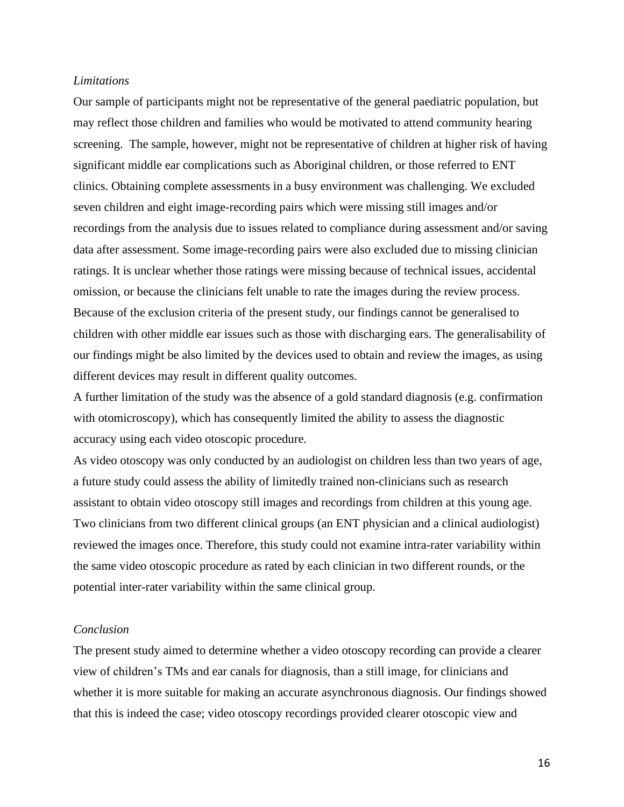#### *Limitations*

Our sample of participants might not be representative of the general paediatric population, but may reflect those children and families who would be motivated to attend community hearing screening. The sample, however, might not be representative of children at higher risk of having significant middle ear complications such as Aboriginal children, or those referred to ENT clinics. Obtaining complete assessments in a busy environment was challenging. We excluded seven children and eight image-recording pairs which were missing still images and/or recordings from the analysis due to issues related to compliance during assessment and/or saving data after assessment. Some image-recording pairs were also excluded due to missing clinician ratings. It is unclear whether those ratings were missing because of technical issues, accidental omission, or because the clinicians felt unable to rate the images during the review process. Because of the exclusion criteria of the present study, our findings cannot be generalised to children with other middle ear issues such as those with discharging ears. The generalisability of our findings might be also limited by the devices used to obtain and review the images, as using different devices may result in different quality outcomes.

A further limitation of the study was the absence of a gold standard diagnosis (e.g. confirmation with otomicroscopy), which has consequently limited the ability to assess the diagnostic accuracy using each video otoscopic procedure.

As video otoscopy was only conducted by an audiologist on children less than two years of age, a future study could assess the ability of limitedly trained non-clinicians such as research assistant to obtain video otoscopy still images and recordings from children at this young age. Two clinicians from two different clinical groups (an ENT physician and a clinical audiologist) reviewed the images once. Therefore, this study could not examine intra-rater variability within the same video otoscopic procedure as rated by each clinician in two different rounds, or the potential inter-rater variability within the same clinical group.

### *Conclusion*

The present study aimed to determine whether a video otoscopy recording can provide a clearer view of children's TMs and ear canals for diagnosis, than a still image, for clinicians and whether it is more suitable for making an accurate asynchronous diagnosis. Our findings showed that this is indeed the case; video otoscopy recordings provided clearer otoscopic view and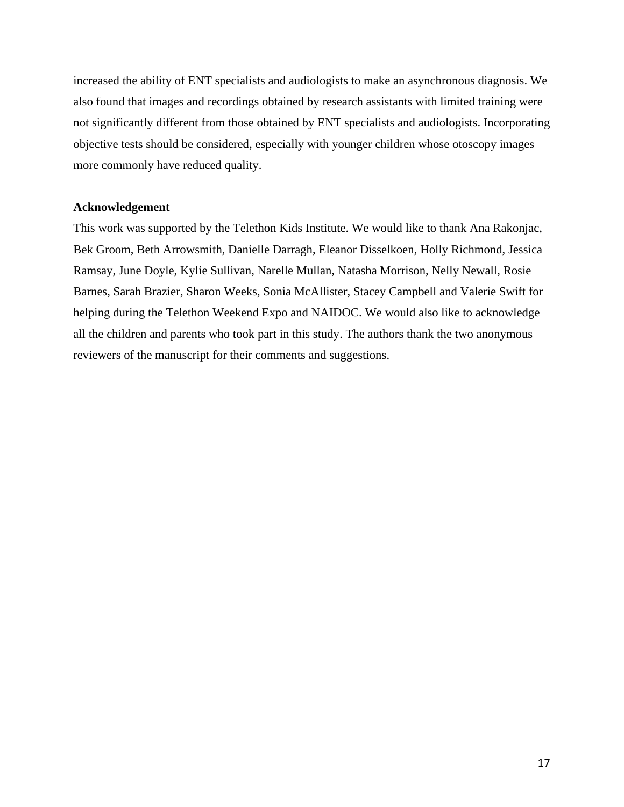increased the ability of ENT specialists and audiologists to make an asynchronous diagnosis. We also found that images and recordings obtained by research assistants with limited training were not significantly different from those obtained by ENT specialists and audiologists. Incorporating objective tests should be considered, especially with younger children whose otoscopy images more commonly have reduced quality.

### **Acknowledgement**

This work was supported by the Telethon Kids Institute. We would like to thank Ana Rakonjac, Bek Groom, Beth Arrowsmith, Danielle Darragh, Eleanor Disselkoen, Holly Richmond, Jessica Ramsay, June Doyle, Kylie Sullivan, Narelle Mullan, Natasha Morrison, Nelly Newall, Rosie Barnes, Sarah Brazier, Sharon Weeks, Sonia McAllister, Stacey Campbell and Valerie Swift for helping during the Telethon Weekend Expo and NAIDOC. We would also like to acknowledge all the children and parents who took part in this study. The authors thank the two anonymous reviewers of the manuscript for their comments and suggestions.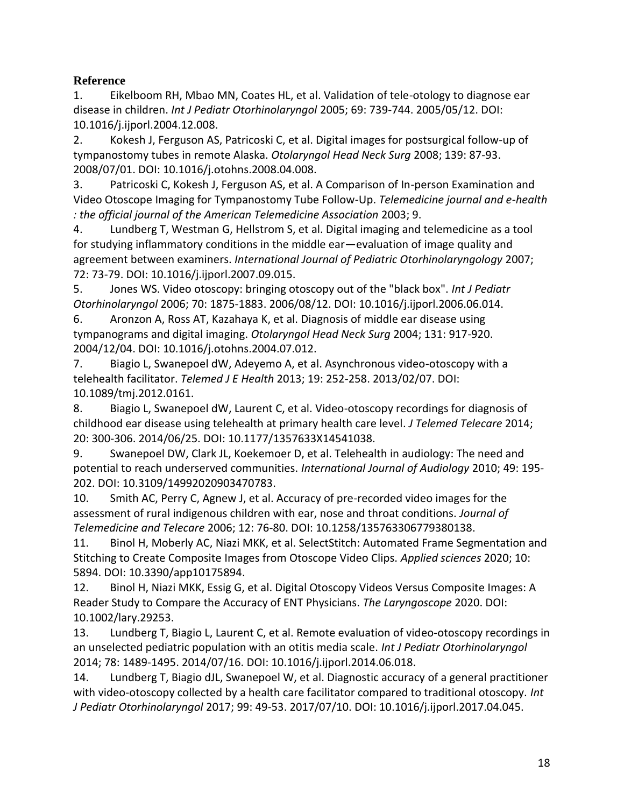### **Reference**

1. Eikelboom RH, Mbao MN, Coates HL, et al. Validation of tele-otology to diagnose ear disease in children. *Int J Pediatr Otorhinolaryngol* 2005; 69: 739-744. 2005/05/12. DOI: 10.1016/j.ijporl.2004.12.008.

2. Kokesh J, Ferguson AS, Patricoski C, et al. Digital images for postsurgical follow-up of tympanostomy tubes in remote Alaska. *Otolaryngol Head Neck Surg* 2008; 139: 87-93. 2008/07/01. DOI: 10.1016/j.otohns.2008.04.008.

3. Patricoski C, Kokesh J, Ferguson AS, et al. A Comparison of In-person Examination and Video Otoscope Imaging for Tympanostomy Tube Follow-Up. *Telemedicine journal and e-health : the official journal of the American Telemedicine Association* 2003; 9.

4. Lundberg T, Westman G, Hellstrom S, et al. Digital imaging and telemedicine as a tool for studying inflammatory conditions in the middle ear—evaluation of image quality and agreement between examiners. *International Journal of Pediatric Otorhinolaryngology* 2007; 72: 73-79. DOI: 10.1016/j.ijporl.2007.09.015.

5. Jones WS. Video otoscopy: bringing otoscopy out of the "black box". *Int J Pediatr Otorhinolaryngol* 2006; 70: 1875-1883. 2006/08/12. DOI: 10.1016/j.ijporl.2006.06.014.

6. Aronzon A, Ross AT, Kazahaya K, et al. Diagnosis of middle ear disease using tympanograms and digital imaging. *Otolaryngol Head Neck Surg* 2004; 131: 917-920. 2004/12/04. DOI: 10.1016/j.otohns.2004.07.012.

7. Biagio L, Swanepoel dW, Adeyemo A, et al. Asynchronous video-otoscopy with a telehealth facilitator. *Telemed J E Health* 2013; 19: 252-258. 2013/02/07. DOI: 10.1089/tmj.2012.0161.

8. Biagio L, Swanepoel dW, Laurent C, et al. Video-otoscopy recordings for diagnosis of childhood ear disease using telehealth at primary health care level. *J Telemed Telecare* 2014; 20: 300-306. 2014/06/25. DOI: 10.1177/1357633X14541038.

9. Swanepoel DW, Clark JL, Koekemoer D, et al. Telehealth in audiology: The need and potential to reach underserved communities. *International Journal of Audiology* 2010; 49: 195- 202. DOI: 10.3109/14992020903470783.

10. Smith AC, Perry C, Agnew J, et al. Accuracy of pre-recorded video images for the assessment of rural indigenous children with ear, nose and throat conditions. *Journal of Telemedicine and Telecare* 2006; 12: 76-80. DOI: 10.1258/135763306779380138.

11. Binol H, Moberly AC, Niazi MKK, et al. SelectStitch: Automated Frame Segmentation and Stitching to Create Composite Images from Otoscope Video Clips. *Applied sciences* 2020; 10: 5894. DOI: 10.3390/app10175894.

12. Binol H, Niazi MKK, Essig G, et al. Digital Otoscopy Videos Versus Composite Images: A Reader Study to Compare the Accuracy of ENT Physicians. *The Laryngoscope* 2020. DOI: 10.1002/lary.29253.

13. Lundberg T, Biagio L, Laurent C, et al. Remote evaluation of video-otoscopy recordings in an unselected pediatric population with an otitis media scale. *Int J Pediatr Otorhinolaryngol* 2014; 78: 1489-1495. 2014/07/16. DOI: 10.1016/j.ijporl.2014.06.018.

14. Lundberg T, Biagio dJL, Swanepoel W, et al. Diagnostic accuracy of a general practitioner with video-otoscopy collected by a health care facilitator compared to traditional otoscopy. *Int J Pediatr Otorhinolaryngol* 2017; 99: 49-53. 2017/07/10. DOI: 10.1016/j.ijporl.2017.04.045.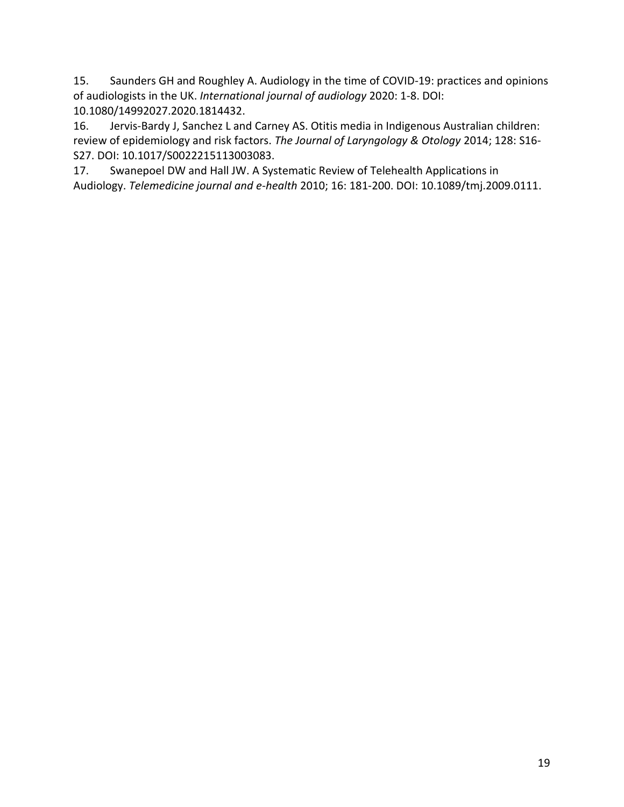15. Saunders GH and Roughley A. Audiology in the time of COVID-19: practices and opinions of audiologists in the UK. *International journal of audiology* 2020: 1-8. DOI: 10.1080/14992027.2020.1814432.

16. Jervis-Bardy J, Sanchez L and Carney AS. Otitis media in Indigenous Australian children: review of epidemiology and risk factors. *The Journal of Laryngology & Otology* 2014; 128: S16- S27. DOI: 10.1017/S0022215113003083.

17. Swanepoel DW and Hall JW. A Systematic Review of Telehealth Applications in Audiology. *Telemedicine journal and e-health* 2010; 16: 181-200. DOI: 10.1089/tmj.2009.0111.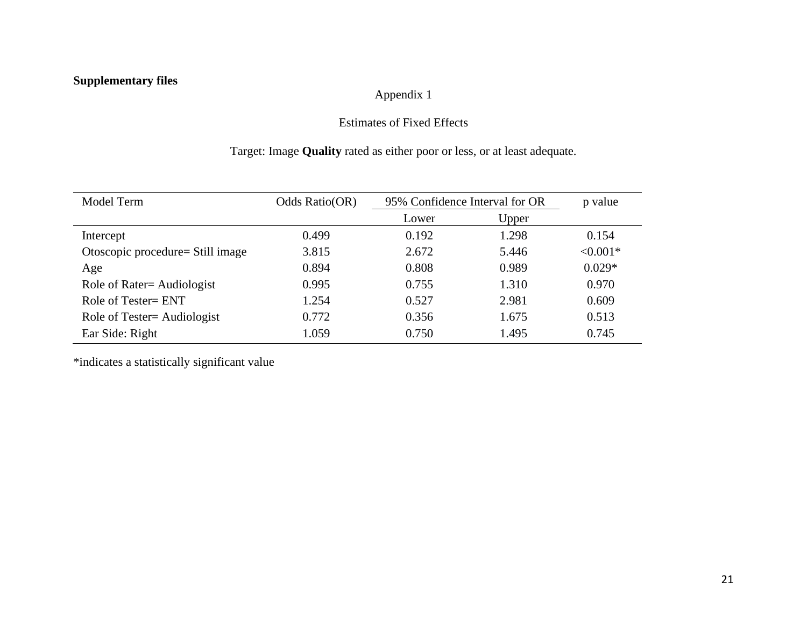# **Supplementary files**

### Appendix 1

### Estimates of Fixed Effects

# Target: Image **Quality** rated as either poor or less, or at least adequate.

| Model Term                        | Odds Ratio(OR) | 95% Confidence Interval for OR |       | p value    |
|-----------------------------------|----------------|--------------------------------|-------|------------|
|                                   |                | Lower                          | Upper |            |
| Intercept                         | 0.499          | 0.192                          | 1.298 | 0.154      |
| Otoscopic procedure = Still image | 3.815          | 2.672                          | 5.446 | $< 0.001*$ |
| Age                               | 0.894          | 0.808                          | 0.989 | $0.029*$   |
| Role of Rater= Audiologist        | 0.995          | 0.755                          | 1.310 | 0.970      |
| Role of Tester= ENT               | 1.254          | 0.527                          | 2.981 | 0.609      |
| Role of Tester= Audiologist       | 0.772          | 0.356                          | 1.675 | 0.513      |
| Ear Side: Right                   | 1.059          | 0.750                          | 1.495 | 0.745      |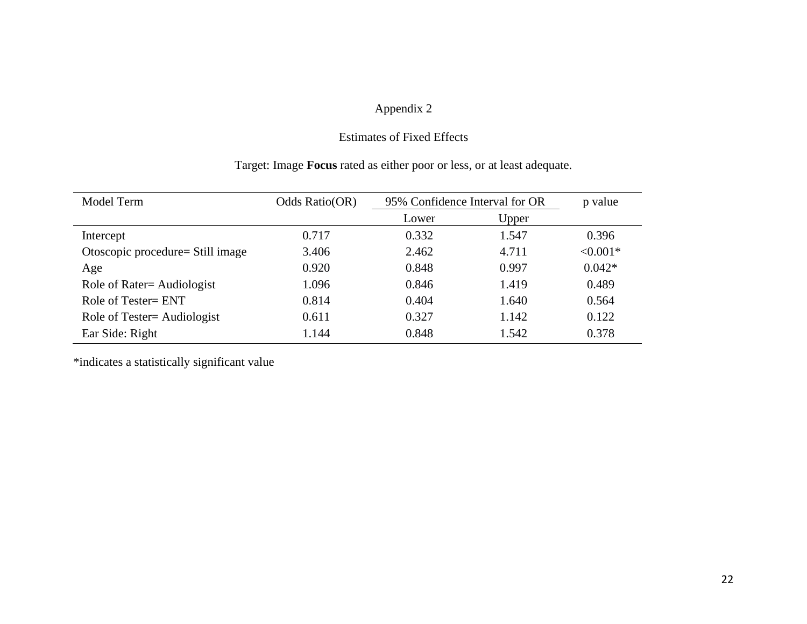### Estimates of Fixed Effects

### Target: Image **Focus** rated as either poor or less, or at least adequate.

| Model Term                       | Odds Ratio(OR) | 95% Confidence Interval for OR |       | p value    |
|----------------------------------|----------------|--------------------------------|-------|------------|
|                                  |                | Lower                          | Upper |            |
| Intercept                        | 0.717          | 0.332                          | 1.547 | 0.396      |
| Otoscopic procedure= Still image | 3.406          | 2.462                          | 4.711 | $< 0.001*$ |
| Age                              | 0.920          | 0.848                          | 0.997 | $0.042*$   |
| Role of Rater= Audiologist       | 1.096          | 0.846                          | 1.419 | 0.489      |
| Role of Tester= ENT              | 0.814          | 0.404                          | 1.640 | 0.564      |
| Role of Tester= Audiologist      | 0.611          | 0.327                          | 1.142 | 0.122      |
| Ear Side: Right                  | 1.144          | 0.848                          | 1.542 | 0.378      |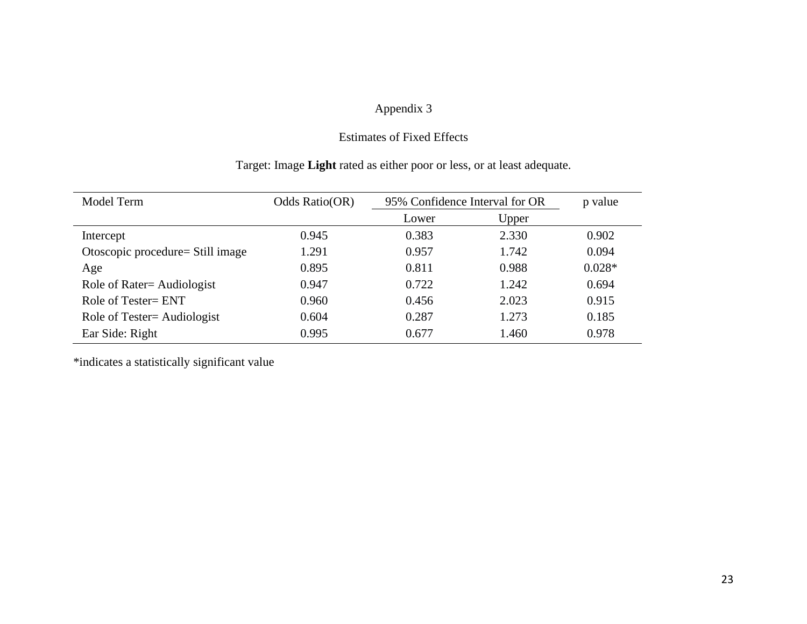### Estimates of Fixed Effects

# Target: Image **Light** rated as either poor or less, or at least adequate.

| Model Term                       | Odds Ratio(OR) | 95% Confidence Interval for OR |       | p value  |
|----------------------------------|----------------|--------------------------------|-------|----------|
|                                  |                | Lower                          | Upper |          |
| Intercept                        | 0.945          | 0.383                          | 2.330 | 0.902    |
| Otoscopic procedure= Still image | 1.291          | 0.957                          | 1.742 | 0.094    |
| Age                              | 0.895          | 0.811                          | 0.988 | $0.028*$ |
| Role of Rater= Audiologist       | 0.947          | 0.722                          | 1.242 | 0.694    |
| Role of Tester= ENT              | 0.960          | 0.456                          | 2.023 | 0.915    |
| Role of Tester= Audiologist      | 0.604          | 0.287                          | 1.273 | 0.185    |
| Ear Side: Right                  | 0.995          | 0.677                          | 1.460 | 0.978    |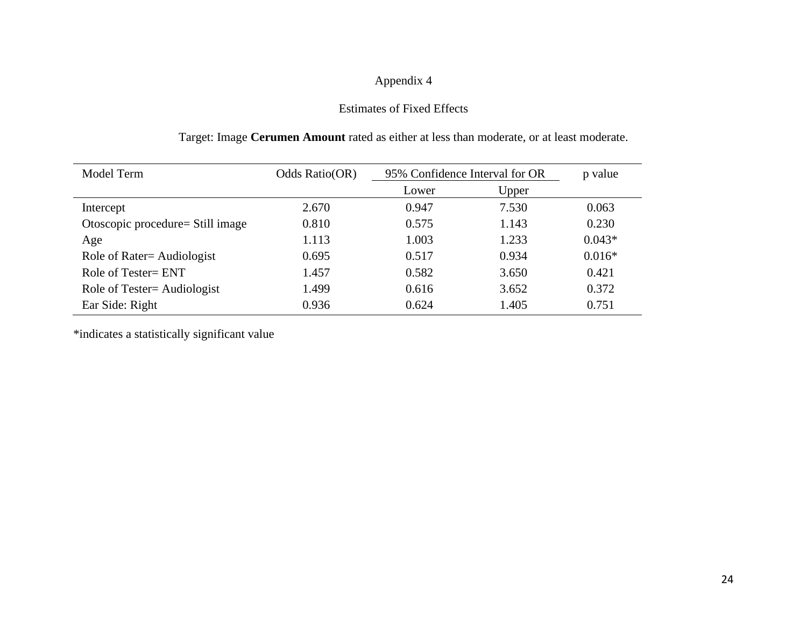### Estimates of Fixed Effects

### Target: Image **Cerumen Amount** rated as either at less than moderate, or at least moderate.

| Model Term                        | Odds Ratio(OR) | 95% Confidence Interval for OR |       | p value  |
|-----------------------------------|----------------|--------------------------------|-------|----------|
|                                   |                | Lower                          | Upper |          |
| Intercept                         | 2.670          | 0.947                          | 7.530 | 0.063    |
| Otoscopic procedure = Still image | 0.810          | 0.575                          | 1.143 | 0.230    |
| Age                               | 1.113          | 1.003                          | 1.233 | $0.043*$ |
| Role of Rater= Audiologist        | 0.695          | 0.517                          | 0.934 | $0.016*$ |
| Role of Tester= ENT               | 1.457          | 0.582                          | 3.650 | 0.421    |
| Role of Tester= Audiologist       | 1.499          | 0.616                          | 3.652 | 0.372    |
| Ear Side: Right                   | 0.936          | 0.624                          | 1.405 | 0.751    |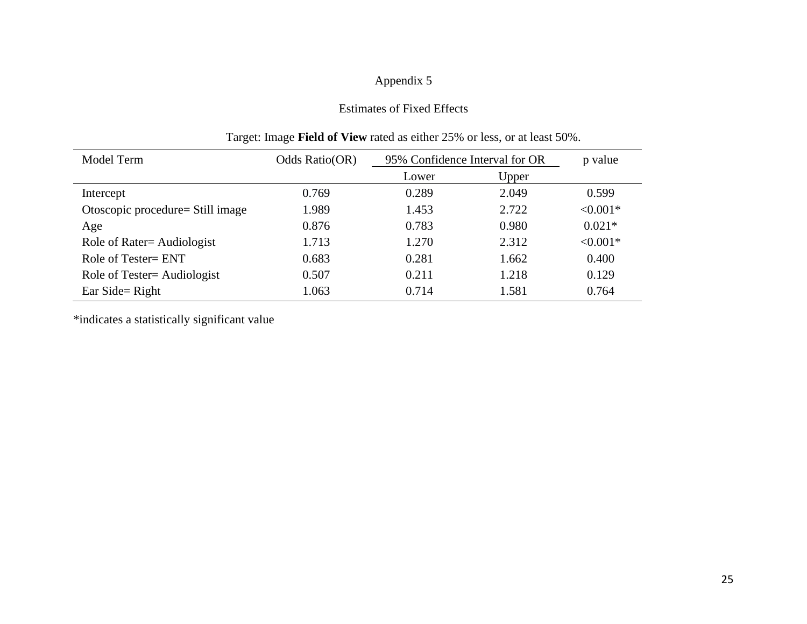### Estimates of Fixed Effects

| Model Term                        | Odds Ratio(OR) | 95% Confidence Interval for OR |       | p value    |
|-----------------------------------|----------------|--------------------------------|-------|------------|
|                                   |                | Lower                          | Upper |            |
| Intercept                         | 0.769          | 0.289                          | 2.049 | 0.599      |
| Otoscopic procedure = Still image | 1.989          | 1.453                          | 2.722 | $< 0.001*$ |
| Age                               | 0.876          | 0.783                          | 0.980 | $0.021*$   |
| Role of Rater= Audiologist        | 1.713          | 1.270                          | 2.312 | $< 0.001*$ |
| Role of Tester= ENT               | 0.683          | 0.281                          | 1.662 | 0.400      |
| Role of Tester= Audiologist       | 0.507          | 0.211                          | 1.218 | 0.129      |
| Ear Side = Right                  | 1.063          | 0.714                          | 1.581 | 0.764      |

### Target: Image **Field of View** rated as either 25% or less, or at least 50%.